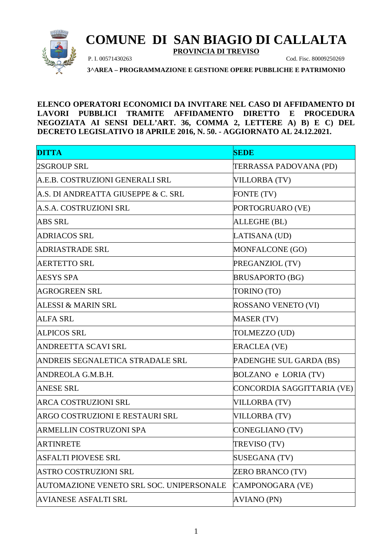

## **COMUNE DI SAN BIAGIO DI CALLALTA**

**PROVINCIA DI TREVISO**

P. I. 00571430263 Cod. Fisc. 80009250269

**3^AREA – PROGRAMMAZIONE E GESTIONE OPERE PUBBLICHE E PATRIMONIO**

**ELENCO OPERATORI ECONOMICI DA INVITARE NEL CASO DI AFFIDAMENTO DI LAVORI PUBBLICI TRAMITE AFFIDAMENTO DIRETTO E PROCEDURA NEGOZIATA AI SENSI DELL'ART. 36, COMMA 2, LETTERE A) B) E C) DEL DECRETO LEGISLATIVO 18 APRILE 2016, N. 50. - AGGIORNATO AL 24.12.2021.**

| <b>DITTA</b>                             | <b>SEDE</b>                |
|------------------------------------------|----------------------------|
| 2SGROUP SRL                              | TERRASSA PADOVANA (PD)     |
| A.E.B. COSTRUZIONI GENERALI SRL          | <b>VILLORBA (TV)</b>       |
| A.S. DI ANDREATTA GIUSEPPE & C. SRL      | FONTE (TV)                 |
| A.S.A. COSTRUZIONI SRL                   | PORTOGRUARO (VE)           |
| <b>ABS SRL</b>                           | ALLEGHE (BL)               |
| <b>ADRIACOS SRL</b>                      | LATISANA (UD)              |
| ADRIASTRADE SRL                          | MONFALCONE (GO)            |
| <b>AERTETTO SRL</b>                      | PREGANZIOL (TV)            |
| <b>AESYS SPA</b>                         | <b>BRUSAPORTO (BG)</b>     |
| <b>AGROGREEN SRL</b>                     | TORINO (TO)                |
| <b>ALESSI &amp; MARIN SRL</b>            | ROSSANO VENETO (VI)        |
| <b>ALFA SRL</b>                          | <b>MASER (TV)</b>          |
| <b>ALPICOS SRL</b>                       | TOLMEZZO (UD)              |
| <b>ANDREETTA SCAVI SRL</b>               | <b>ERACLEA (VE)</b>        |
| ANDREIS SEGNALETICA STRADALE SRL         | PADENGHE SUL GARDA (BS)    |
| ANDREOLA G.M.B.H.                        | BOLZANO e LORIA (TV)       |
| <b>ANESE SRL</b>                         | CONCORDIA SAGGITTARIA (VE) |
| <b>ARCA COSTRUZIONI SRL</b>              | <b>VILLORBA (TV)</b>       |
| ARGO COSTRUZIONI E RESTAURI SRL          | <b>VILLORBA (TV)</b>       |
| ARMELLIN COSTRUZONI SPA                  | CONEGLIANO (TV)            |
| <b>ARTINRETE</b>                         | TREVISO (TV)               |
| ASFALTI PIOVESE SRL                      | SUSEGANA (TV)              |
| <b>ASTRO COSTRUZIONI SRL</b>             | <b>ZERO BRANCO (TV)</b>    |
| AUTOMAZIONE VENETO SRL SOC. UNIPERSONALE | CAMPONOGARA (VE)           |
| <b>AVIANESE ASFALTI SRL</b>              | <b>AVIANO (PN)</b>         |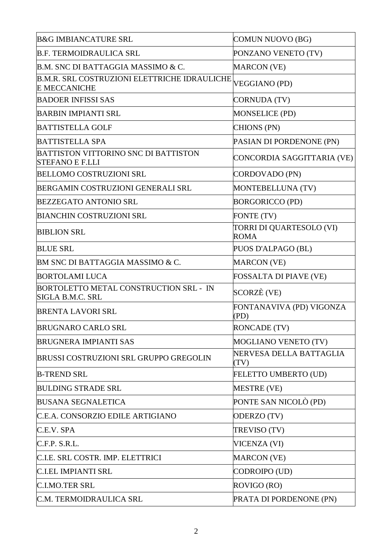| <b>B&amp;G IMBIANCATURE SRL</b>                                            | COMUN NUOVO (BG)                        |
|----------------------------------------------------------------------------|-----------------------------------------|
| <b>B.F. TERMOIDRAULICA SRL</b>                                             | PONZANO VENETO (TV)                     |
| B.M. SNC DI BATTAGGIA MASSIMO & C.                                         | <b>MARCON</b> (VE)                      |
| <b>B.M.R. SRL COSTRUZIONI ELETTRICHE IDRAULICHE</b><br><b>E MECCANICHE</b> | <b>VEGGIANO (PD)</b>                    |
| <b>BADOER INFISSI SAS</b>                                                  | CORNUDA (TV)                            |
| <b>BARBIN IMPIANTI SRL</b>                                                 | <b>MONSELICE (PD)</b>                   |
| <b>BATTISTELLA GOLF</b>                                                    | <b>CHIONS (PN)</b>                      |
| <b>BATTISTELLA SPA</b>                                                     | PASIAN DI PORDENONE (PN)                |
| <b>BATTISTON VITTORINO SNC DI BATTISTON</b><br><b>STEFANO E F.LLI</b>      | CONCORDIA SAGGITTARIA (VE)              |
| <b>BELLOMO COSTRUZIONI SRL</b>                                             | CORDOVADO (PN)                          |
| BERGAMIN COSTRUZIONI GENERALI SRL                                          | MONTEBELLUNA (TV)                       |
| <b>BEZZEGATO ANTONIO SRL</b>                                               | <b>BORGORICCO (PD)</b>                  |
| <b>BIANCHIN COSTRUZIONI SRL</b>                                            | FONTE (TV)                              |
| <b>BIBLION SRL</b>                                                         | TORRI DI QUARTESOLO (VI)<br><b>ROMA</b> |
| <b>BLUE SRL</b>                                                            | PUOS D'ALPAGO (BL)                      |
| BM SNC DI BATTAGGIA MASSIMO & C.                                           | <b>MARCON</b> (VE)                      |
| <b>BORTOLAMI LUCA</b>                                                      | FOSSALTA DI PIAVE (VE)                  |
| BORTOLETTO METAL CONSTRUCTION SRL - IN<br>SIGLA B.M.C. SRL                 | SCORZÈ (VE)                             |
| <b>BRENTA LAVORI SRL</b>                                                   | FONTANAVIVA (PD) VIGONZA<br>(PD)        |
| <b>BRUGNARO CARLO SRL</b>                                                  | <b>RONCADE (TV)</b>                     |
| <b>BRUGNERA IMPIANTI SAS</b>                                               | <b>MOGLIANO VENETO (TV)</b>             |
| BRUSSI COSTRUZIONI SRL GRUPPO GREGOLIN                                     | NERVESA DELLA BATTAGLIA<br>(TV)         |
| <b>B-TREND SRL</b>                                                         | FELETTO UMBERTO (UD)                    |
| <b>BULDING STRADE SRL</b>                                                  | <b>MESTRE (VE)</b>                      |
| <b>BUSANA SEGNALETICA</b>                                                  | PONTE SAN NICOLÒ (PD)                   |
| C.E.A. CONSORZIO EDILE ARTIGIANO                                           | ODERZO (TV)                             |
| C.E.V. SPA                                                                 | TREVISO (TV)                            |
| C.F.P. S.R.L.                                                              | <b>VICENZA (VI)</b>                     |
| C.I.E. SRL COSTR. IMP. ELETTRICI                                           | <b>MARCON</b> (VE)                      |
| <b>C.I.EL IMPIANTI SRL</b>                                                 | CODROIPO (UD)                           |
| <b>C.I.MO.TER SRL</b>                                                      | ROVIGO (RO)                             |
| C.M. TERMOIDRAULICA SRL                                                    | PRATA DI PORDENONE (PN)                 |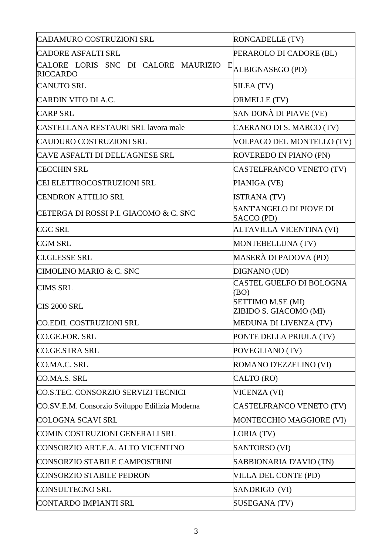| CADAMURO COSTRUZIONI SRL                                    | <b>RONCADELLE (TV)</b>                      |
|-------------------------------------------------------------|---------------------------------------------|
| <b>CADORE ASFALTI SRL</b>                                   | PERAROLO DI CADORE (BL)                     |
| CALORE LORIS SNC DI CALORE MAURIZIO<br>E<br><b>RICCARDO</b> | ALBIGNASEGO (PD)                            |
| <b>CANUTO SRL</b>                                           | SILEA (TV)                                  |
| <b>CARDIN VITO DI A.C.</b>                                  | ORMELLE (TV)                                |
| <b>CARP SRL</b>                                             | SAN DONÀ DI PIAVE (VE)                      |
| <b>CASTELLANA RESTAURI SRL lavora male</b>                  | CAERANO DI S. MARCO (TV)                    |
| <b>CAUDURO COSTRUZIONI SRL</b>                              | VOLPAGO DEL MONTELLO (TV)                   |
| CAVE ASFALTI DI DELL'AGNESE SRL                             | ROVEREDO IN PIANO (PN)                      |
| <b>CECCHIN SRL</b>                                          | CASTELFRANCO VENETO (TV)                    |
| CEI ELETTROCOSTRUZIONI SRL                                  | PIANIGA (VE)                                |
| <b>CENDRON ATTILIO SRL</b>                                  | <b>ISTRANA (TV)</b>                         |
| CETERGA DI ROSSI P.I. GIACOMO & C. SNC                      | SANT'ANGELO DI PIOVE DI<br>SACCO (PD)       |
| <b>CGC SRL</b>                                              | ALTAVILLA VICENTINA (VI)                    |
| <b>CGM SRL</b>                                              | MONTEBELLUNA (TV)                           |
| <b>CI.GI.ESSE SRL</b>                                       | MASERÀ DI PADOVA (PD)                       |
| CIMOLINO MARIO & C. SNC                                     | DIGNANO (UD)                                |
| <b>CIMS SRL</b>                                             | CASTEL GUELFO DI BOLOGNA<br>(BO)            |
| <b>CIS 2000 SRL</b>                                         | SETTIMO M.SE (MI)<br>ZIBIDO S. GIACOMO (MI) |
| CO.EDIL COSTRUZIONI SRL                                     | MEDUNA DI LIVENZA (TV)                      |
| CO.GE.FOR. SRL                                              | PONTE DELLA PRIULA (TV)                     |
| CO.GE.STRA SRL                                              | POVEGLIANO (TV)                             |
| CO.MA.C. SRL                                                | ROMANO D'EZZELINO (VI)                      |
| CO.MA.S. SRL                                                | CALTO (RO)                                  |
| CO.S.TEC. CONSORZIO SERVIZI TECNICI                         | <b>VICENZA (VI)</b>                         |
| CO.SV.E.M. Consorzio Sviluppo Edilizia Moderna              | CASTELFRANCO VENETO (TV)                    |
| COLOGNA SCAVI SRL                                           | MONTECCHIO MAGGIORE (VI)                    |
| COMIN COSTRUZIONI GENERALI SRL                              | LORIA (TV)                                  |
| CONSORZIO ART.E.A. ALTO VICENTINO                           | SANTORSO (VI)                               |
| CONSORZIO STABILE CAMPOSTRINI                               | SABBIONARIA D'AVIO (TN)                     |
| <b>CONSORZIO STABILE PEDRON</b>                             | VILLA DEL CONTE (PD)                        |
| <b>CONSULTECNO SRL</b>                                      | SANDRIGO (VI)                               |
| CONTARDO IMPIANTI SRL                                       | <b>SUSEGANA (TV)</b>                        |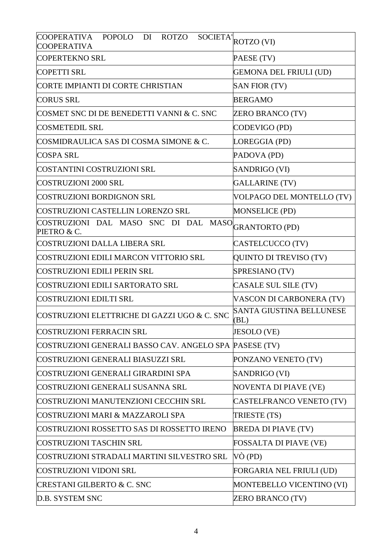| <b>COOPERATIVA</b><br><b>ROTZO</b><br>POPOLO DI<br><b>COOPERATIVA</b> | $\overline{\text{SOCIETA}}^{\parallel}_{\text{ROTZO (VI)}}$ |
|-----------------------------------------------------------------------|-------------------------------------------------------------|
| <b>COPERTEKNO SRL</b>                                                 | PAESE (TV)                                                  |
| <b>COPETTI SRL</b>                                                    | <b>GEMONA DEL FRIULI (UD)</b>                               |
| CORTE IMPIANTI DI CORTE CHRISTIAN                                     | <b>SAN FIOR (TV)</b>                                        |
| <b>CORUS SRL</b>                                                      | <b>BERGAMO</b>                                              |
| COSMET SNC DI DE BENEDETTI VANNI & C. SNC                             | <b>ZERO BRANCO (TV)</b>                                     |
| <b>COSMETEDIL SRL</b>                                                 | CODEVIGO (PD)                                               |
| COSMIDRAULICA SAS DI COSMA SIMONE & C.                                | LOREGGIA (PD)                                               |
| <b>COSPA SRL</b>                                                      | PADOVA (PD)                                                 |
| COSTANTINI COSTRUZIONI SRL                                            | SANDRIGO (VI)                                               |
| <b>COSTRUZIONI 2000 SRL</b>                                           | <b>GALLARINE (TV)</b>                                       |
| COSTRUZIONI BORDIGNON SRL                                             | VOLPAGO DEL MONTELLO (TV)                                   |
| <b>COSTRUZIONI CASTELLIN LORENZO SRL</b>                              | <b>MONSELICE (PD)</b>                                       |
| COSTRUZIONI DAL MASO SNC DI DAL MASO GRANTORTO (PD)<br>PIETRO & C.    |                                                             |
| COSTRUZIONI DALLA LIBERA SRL                                          | CASTELCUCCO (TV)                                            |
| COSTRUZIONI EDILI MARCON VITTORIO SRL                                 | QUINTO DI TREVISO (TV)                                      |
| <b>COSTRUZIONI EDILI PERIN SRL</b>                                    | SPRESIANO (TV)                                              |
| COSTRUZIONI EDILI SARTORATO SRL                                       | CASALE SUL SILE (TV)                                        |
| <b>COSTRUZIONI EDILTI SRL</b>                                         | VASCON DI CARBONERA (TV)                                    |
| COSTRUZIONI ELETTRICHE DI GAZZI UGO & C. SNC                          | SANTA GIUSTINA BELLUNESE<br>(BL)                            |
| <b>COSTRUZIONI FERRACIN SRL</b>                                       | JESOLO (VE)                                                 |
| COSTRUZIONI GENERALI BASSO CAV. ANGELO SPA PASESE (TV)                |                                                             |
| COSTRUZIONI GENERALI BIASUZZI SRL                                     | PONZANO VENETO (TV)                                         |
| COSTRUZIONI GENERALI GIRARDINI SPA                                    | SANDRIGO (VI)                                               |
| COSTRUZIONI GENERALI SUSANNA SRL                                      | NOVENTA DI PIAVE (VE)                                       |
| COSTRUZIONI MANUTENZIONI CECCHIN SRL                                  | CASTELFRANCO VENETO (TV)                                    |
| <b>COSTRUZIONI MARI &amp; MAZZAROLI SPA</b>                           | TRIESTE (TS)                                                |
| COSTRUZIONI ROSSETTO SAS DI ROSSETTO IRENO                            | <b>BREDA DI PIAVE (TV)</b>                                  |
| <b>COSTRUZIONI TASCHIN SRL</b>                                        | FOSSALTA DI PIAVE (VE)                                      |
| COSTRUZIONI STRADALI MARTINI SILVESTRO SRL                            | VÒ (PD)                                                     |
| <b>COSTRUZIONI VIDONI SRL</b>                                         | FORGARIA NEL FRIULI (UD)                                    |
| <b>CRESTANI GILBERTO &amp; C. SNC</b>                                 | MONTEBELLO VICENTINO (VI)                                   |
| D.B. SYSTEM SNC                                                       | <b>ZERO BRANCO (TV)</b>                                     |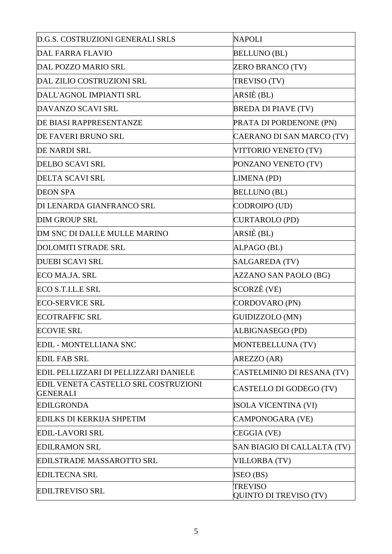| D.G.S. COSTRUZIONI GENERALI SRLS                        | <b>NAPOLI</b>                                   |
|---------------------------------------------------------|-------------------------------------------------|
| <b>DAL FARRA FLAVIO</b>                                 | <b>BELLUNO (BL)</b>                             |
| <b>DAL POZZO MARIO SRL</b>                              | ZERO BRANCO (TV)                                |
| DAL ZILIO COSTRUZIONI SRL                               | TREVISO (TV)                                    |
| DALL'AGNOL IMPIANTI SRL                                 | ARSIÈ (BL)                                      |
| DAVANZO SCAVI SRL                                       | <b>BREDA DI PIAVE (TV)</b>                      |
| DE BIASI RAPPRESENTANZE                                 | PRATA DI PORDENONE (PN)                         |
| DE FAVERI BRUNO SRL                                     | CAERANO DI SAN MARCO (TV)                       |
| <b>DE NARDI SRL</b>                                     | VITTORIO VENETO (TV)                            |
| <b>DELBO SCAVI SRL</b>                                  | PONZANO VENETO (TV)                             |
| <b>DELTA SCAVI SRL</b>                                  | LIMENA (PD)                                     |
| <b>DEON SPA</b>                                         | <b>BELLUNO (BL)</b>                             |
| DI LENARDA GIANFRANCO SRL                               | CODROIPO (UD)                                   |
| <b>DIM GROUP SRL</b>                                    | <b>CURTAROLO (PD)</b>                           |
| DM SNC DI DALLE MULLE MARINO                            | ARSIÈ (BL)                                      |
| <b>DOLOMITI STRADE SRL</b>                              | ALPAGO (BL)                                     |
| <b>DUEBI SCAVI SRL</b>                                  | <b>SALGAREDA (TV)</b>                           |
| ECO MA.JA. SRL                                          | <b>AZZANO SAN PAOLO (BG)</b>                    |
| ECO S.T.I.L.E SRL                                       | SCORZÈ (VE)                                     |
| <b>ECO-SERVICE SRL</b>                                  | CORDOVARO (PN)                                  |
| <b>ECOTRAFFIC SRL</b>                                   | GUIDIZZOLO (MN)                                 |
| <b>ECOVIE SRL</b>                                       | ALBIGNASEGO (PD)                                |
| <b>EDIL - MONTELLIANA SNC</b>                           | MONTEBELLUNA (TV)                               |
| <b>EDIL FAB SRL</b>                                     | AREZZO (AR)                                     |
| EDIL PELLIZZARI DI PELLIZZARI DANIELE                   | CASTELMINIO DI RESANA (TV)                      |
| EDIL VENETA CASTELLO SRL COSTRUZIONI<br><b>GENERALI</b> | CASTELLO DI GODEGO (TV)                         |
| <b>EDILGRONDA</b>                                       | ISOLA VICENTINA (VI)                            |
| EDILKS DI KERKIJA SHPETIM                               | CAMPONOGARA (VE)                                |
| <b>EDIL-LAVORI SRL</b>                                  | CEGGIA (VE)                                     |
| <b>EDILRAMON SRL</b>                                    | SAN BIAGIO DI CALLALTA (TV)                     |
| <b>EDILSTRADE MASSAROTTO SRL</b>                        | <b>VILLORBA (TV)</b>                            |
| <b>EDILTECNA SRL</b>                                    | ISEO (BS)                                       |
| <b>EDILTREVISO SRL</b>                                  | <b>TREVISO</b><br><b>QUINTO DI TREVISO (TV)</b> |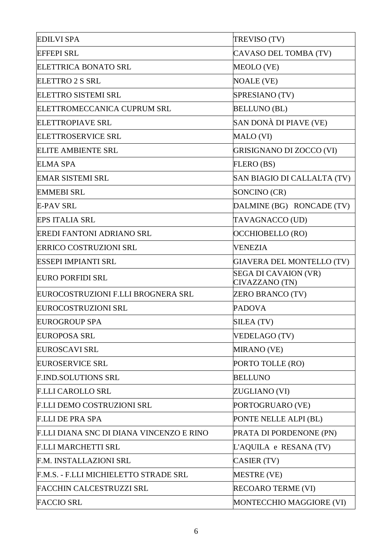| TREVISO (TV)                                  |
|-----------------------------------------------|
| CAVASO DEL TOMBA (TV)                         |
| MEOLO (VE)                                    |
| <b>NOALE (VE)</b>                             |
| SPRESIANO (TV)                                |
| <b>BELLUNO (BL)</b>                           |
| SAN DONÀ DI PIAVE (VE)                        |
| MALO (VI)                                     |
| <b>GRISIGNANO DI ZOCCO (VI)</b>               |
| FLERO (BS)                                    |
| SAN BIAGIO DI CALLALTA (TV)                   |
| SONCINO (CR)                                  |
| DALMINE (BG) RONCADE (TV)                     |
| TAVAGNACCO (UD)                               |
| OCCHIOBELLO (RO)                              |
| <b>VENEZIA</b>                                |
| <b>GIAVERA DEL MONTELLO (TV)</b>              |
| <b>SEGA DI CAVAION (VR)</b><br>CIVAZZANO (TN) |
| <b>ZERO BRANCO (TV)</b>                       |
| <b>PADOVA</b>                                 |
| SILEA (TV)                                    |
| <b>VEDELAGO (TV)</b>                          |
| MIRANO (VE)                                   |
| PORTO TOLLE (RO)                              |
| <b>BELLUNO</b>                                |
| ZUGLIANO (VI)                                 |
| PORTOGRUARO (VE)                              |
| PONTE NELLE ALPI (BL)                         |
| PRATA DI PORDENONE (PN)                       |
| L'AQUILA e RESANA (TV)                        |
| CASIER (TV)                                   |
| <b>MESTRE (VE)</b>                            |
| <b>RECOARO TERME (VI)</b>                     |
| MONTECCHIO MAGGIORE (VI)                      |
|                                               |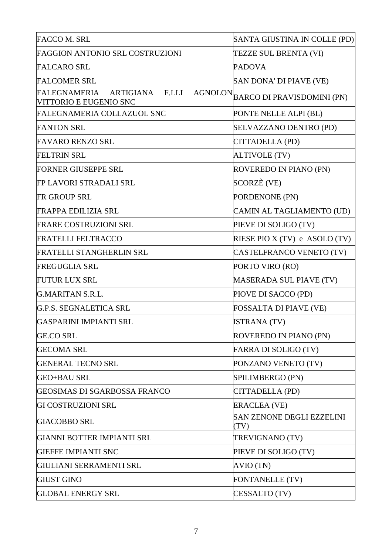| <b>FACCO M. SRL</b>                                                         | SANTA GIUSTINA IN COLLE (PD)             |
|-----------------------------------------------------------------------------|------------------------------------------|
| FAGGION ANTONIO SRL COSTRUZIONI                                             | TEZZE SUL BRENTA (VI)                    |
| <b>FALCARO SRL</b>                                                          | <b>PADOVA</b>                            |
| <b>FALCOMER SRL</b>                                                         | SAN DONA' DI PIAVE (VE)                  |
| <b>AGNOLON</b><br>ARTIGIANA F.LLI<br>FALEGNAMERIA<br>VITTORIO E EUGENIO SNC | <b>BARCO DI PRAVISDOMINI (PN)</b>        |
| <b>FALEGNAMERIA COLLAZUOL SNC</b>                                           | PONTE NELLE ALPI (BL)                    |
| <b>FANTON SRL</b>                                                           | SELVAZZANO DENTRO (PD)                   |
| <b>FAVARO RENZO SRL</b>                                                     | CITTADELLA (PD)                          |
| <b>FELTRIN SRL</b>                                                          | ALTIVOLE (TV)                            |
| <b>FORNER GIUSEPPE SRL</b>                                                  | ROVEREDO IN PIANO (PN)                   |
| FP LAVORI STRADALI SRL                                                      | SCORZÈ (VE)                              |
| <b>FR GROUP SRL</b>                                                         | PORDENONE (PN)                           |
| <b>FRAPPA EDILIZIA SRL</b>                                                  | CAMIN AL TAGLIAMENTO (UD)                |
| FRARE COSTRUZIONI SRL                                                       | PIEVE DI SOLIGO (TV)                     |
| <b>FRATELLI FELTRACCO</b>                                                   | RIESE PIO $X(TV)$ e ASOLO $(TV)$         |
| FRATELLI STANGHERLIN SRL                                                    | CASTELFRANCO VENETO (TV)                 |
| <b>FREGUGLIA SRL</b>                                                        | PORTO VIRO (RO)                          |
| <b>FUTUR LUX SRL</b>                                                        | MASERADA SUL PIAVE (TV)                  |
| G.MARITAN S.R.L.                                                            | PIOVE DI SACCO (PD)                      |
| G.P.S. SEGNALETICA SRL                                                      | FOSSALTA DI PIAVE (VE)                   |
| GASPARINI IMPIANTI SRL                                                      | <b>ISTRANA</b> (TV)                      |
| <b>GE.CO SRL</b>                                                            | ROVEREDO IN PIANO (PN)                   |
| <b>GECOMA SRL</b>                                                           | FARRA DI SOLIGO (TV)                     |
| <b>GENERAL TECNO SRL</b>                                                    | PONZANO VENETO (TV)                      |
| <b>GEO+BAU SRL</b>                                                          | SPILIMBERGO (PN)                         |
| GEOSIMAS DI SGARBOSSA FRANCO                                                | CITTADELLA (PD)                          |
| <b>GI COSTRUZIONI SRL</b>                                                   | <b>ERACLEA (VE)</b>                      |
| <b>GIACOBBO SRL</b>                                                         | <b>SAN ZENONE DEGLI EZZELINI</b><br>(TV) |
| GIANNI BOTTER IMPIANTI SRL                                                  | TREVIGNANO (TV)                          |
| <b>GIEFFE IMPIANTI SNC</b>                                                  | PIEVE DI SOLIGO (TV)                     |
| GIULIANI SERRAMENTI SRL                                                     | AVIO (TN)                                |
| <b>GIUST GINO</b>                                                           | <b>FONTANELLE (TV)</b>                   |
| <b>GLOBAL ENERGY SRL</b>                                                    | CESSALTO (TV)                            |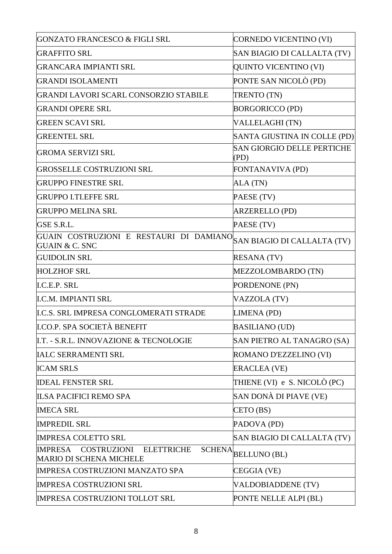| <b>GONZATO FRANCESCO &amp; FIGLI SRL</b>                                                              | CORNEDO VICENTINO (VI)                    |
|-------------------------------------------------------------------------------------------------------|-------------------------------------------|
| <b>GRAFFITO SRL</b>                                                                                   | SAN BIAGIO DI CALLALTA (TV)               |
| <b>GRANCARA IMPIANTI SRL</b>                                                                          | QUINTO VICENTINO (VI)                     |
| <b>GRANDI ISOLAMENTI</b>                                                                              | PONTE SAN NICOLÒ (PD)                     |
| GRANDI LAVORI SCARL CONSORZIO STABILE                                                                 | <b>TRENTO (TN)</b>                        |
| <b>GRANDI OPERE SRL</b>                                                                               | <b>BORGORICCO (PD)</b>                    |
| <b>GREEN SCAVI SRL</b>                                                                                | VALLELAGHI (TN)                           |
| <b>GREENTEL SRL</b>                                                                                   | SANTA GIUSTINA IN COLLE (PD)              |
| <b>GROMA SERVIZI SRL</b>                                                                              | <b>SAN GIORGIO DELLE PERTICHE</b><br>(PD) |
| <b>GROSSELLE COSTRUZIONI SRL</b>                                                                      | FONTANAVIVA (PD)                          |
| <b>GRUPPO FINESTRE SRL</b>                                                                            | ALA (TN)                                  |
| <b>GRUPPO I.TI.EFFE SRL</b>                                                                           | PAESE (TV)                                |
| <b>GRUPPO MELINA SRL</b>                                                                              | <b>ARZERELLO (PD)</b>                     |
| GSE S.R.L.                                                                                            | PAESE (TV)                                |
| GUAIN COSTRUZIONI E RESTAURI DI DAMIANO SAN BIAGIO DI CALLALTA (TV)<br><b>GUAIN &amp; C. SNC</b>      |                                           |
| <b>GUIDOLIN SRL</b>                                                                                   | <b>RESANA</b> (TV)                        |
| <b>HOLZHOF SRL</b>                                                                                    | MEZZOLOMBARDO (TN)                        |
| <b>I.C.E.P. SRL</b>                                                                                   | PORDENONE (PN)                            |
| <b>I.C.M. IMPIANTI SRL</b>                                                                            | VAZZOLA (TV)                              |
| <b>I.C.S. SRL IMPRESA CONGLOMERATI STRADE</b>                                                         | LIMENA (PD)                               |
| <b>I.CO.P. SPA SOCIETÀ BENEFIT</b>                                                                    | <b>BASILIANO (UD)</b>                     |
| I.T. - S.R.L. INNOVAZIONE & TECNOLOGIE                                                                | SAN PIETRO AL TANAGRO (SA)                |
| <b>IALC SERRAMENTI SRL</b>                                                                            | ROMANO D'EZZELINO (VI)                    |
| <b>ICAM SRLS</b>                                                                                      | <b>ERACLEA (VE)</b>                       |
| <b>IDEAL FENSTER SRL</b>                                                                              | THIENE (VI) e S. NICOLÒ (PC)              |
| <b>ILSA PACIFICI REMO SPA</b>                                                                         | SAN DONÀ DI PIAVE (VE)                    |
| <b>IMECA SRL</b>                                                                                      | CETO(BS)                                  |
| <b>IMPREDIL SRL</b>                                                                                   | PADOVA (PD)                               |
| <b>IMPRESA COLETTO SRL</b>                                                                            | SAN BIAGIO DI CALLALTA (TV)               |
| <b>ELETTRICHE</b><br>IMPRESA<br><b>COSTRUZIONI</b><br><b>SCHENA</b><br><b>MARIO DI SCHENA MICHELE</b> | <b>BELLUNO (BL)</b>                       |
| <b>IMPRESA COSTRUZIONI MANZATO SPA</b>                                                                | CEGGIA (VE)                               |
| <b>IMPRESA COSTRUZIONI SRL</b>                                                                        | <b>VALDOBIADDENE (TV)</b>                 |
| <b>IMPRESA COSTRUZIONI TOLLOT SRL</b>                                                                 | PONTE NELLE ALPI (BL)                     |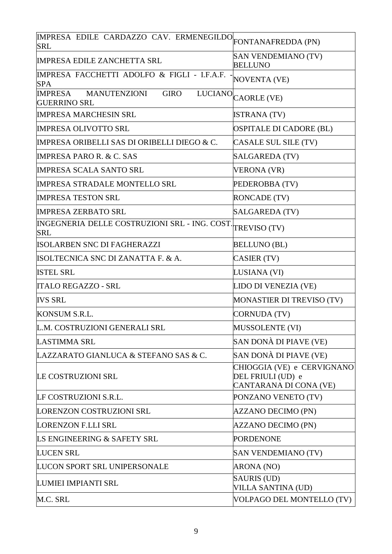| IMPRESA EDILE CARDAZZO CAV. ERMENEGILDO FONTANAFREDDA (PN)<br><b>SRL</b>    |                                                                           |
|-----------------------------------------------------------------------------|---------------------------------------------------------------------------|
| <b>IMPRESA EDILE ZANCHETTA SRL</b>                                          | <b>SAN VENDEMIANO (TV)</b><br><b>BELLUNO</b>                              |
| IMPRESA FACCHETTI ADOLFO & FIGLI - I.F.A.F.<br><b>SPA</b>                   | <b>NOVENTA (VE)</b>                                                       |
| <b>MANUTENZIONI</b><br><b>GIRO</b><br><b>IMPRESA</b><br><b>GUERRINO SRL</b> | LUCIANO CAORLE (VE)                                                       |
| <b>IMPRESA MARCHESIN SRL</b>                                                | <b>ISTRANA</b> (TV)                                                       |
| <b>IMPRESA OLIVOTTO SRL</b>                                                 | OSPITALE DI CADORE (BL)                                                   |
| <b>IMPRESA ORIBELLI SAS DI ORIBELLI DIEGO &amp; C.</b>                      | CASALE SUL SILE (TV)                                                      |
| <b>IMPRESA PARO R. &amp; C. SAS</b>                                         | SALGAREDA (TV)                                                            |
| <b>IMPRESA SCALA SANTO SRL</b>                                              | <b>VERONA (VR)</b>                                                        |
| <b>IMPRESA STRADALE MONTELLO SRL</b>                                        | PEDEROBBA (TV)                                                            |
| <b>IMPRESA TESTON SRL</b>                                                   | <b>RONCADE (TV)</b>                                                       |
| <b>IMPRESA ZERBATO SRL</b>                                                  | SALGAREDA (TV)                                                            |
| INGEGNERIA DELLE COSTRUZIONI SRL - ING. COST.<br><b>SRL</b>                 | TREVISO (TV)                                                              |
| <b>ISOLARBEN SNC DI FAGHERAZZI</b>                                          | <b>BELLUNO (BL)</b>                                                       |
| ISOLTECNICA SNC DI ZANATTA F. & A.                                          | CASIER (TV)                                                               |
| <b>ISTEL SRL</b>                                                            | LUSIANA (VI)                                                              |
| <b>ITALO REGAZZO - SRL</b>                                                  | LIDO DI VENEZIA (VE)                                                      |
| <b>IVS SRL</b>                                                              | MONASTIER DI TREVISO (TV)                                                 |
| KONSUM S.R.L.                                                               | CORNUDA (TV)                                                              |
| L.M. COSTRUZIONI GENERALI SRL                                               | <b>MUSSOLENTE (VI)</b>                                                    |
| <b>LASTIMMA SRL</b>                                                         | SAN DONÀ DI PIAVE (VE)                                                    |
| LAZZARATO GIANLUCA & STEFANO SAS & C.                                       | SAN DONÀ DI PIAVE (VE)                                                    |
| LE COSTRUZIONI SRL                                                          | CHIOGGIA (VE) e CERVIGNANO<br>DEL FRIULI (UD) e<br>CANTARANA DI CONA (VE) |
| LF COSTRUZIONI S.R.L.                                                       | PONZANO VENETO (TV)                                                       |
| LORENZON COSTRUZIONI SRL                                                    | <b>AZZANO DECIMO (PN)</b>                                                 |
| <b>LORENZON F.LLI SRL</b>                                                   | <b>AZZANO DECIMO (PN)</b>                                                 |
| LS ENGINEERING & SAFETY SRL                                                 | <b>PORDENONE</b>                                                          |
| <b>LUCEN SRL</b>                                                            | <b>SAN VENDEMIANO (TV)</b>                                                |
| LUCON SPORT SRL UNIPERSONALE                                                | ARONA (NO)                                                                |
| LUMIEI IMPIANTI SRL                                                         | <b>SAURIS (UD)</b><br><b>VILLA SANTINA (UD)</b>                           |
| M.C. SRL                                                                    | VOLPAGO DEL MONTELLO (TV)                                                 |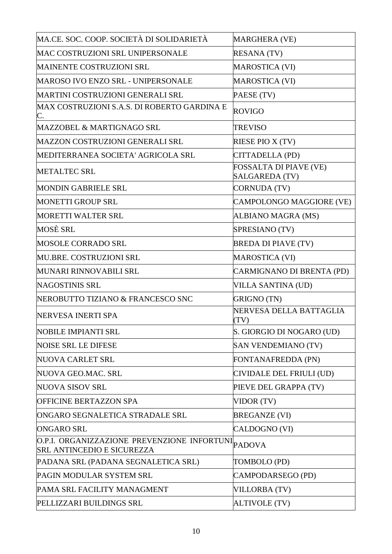| MA.CE. SOC. COOP. SOCIETÀ DI SOLIDARIETÀ                                                | MARGHERA (VE)                                          |
|-----------------------------------------------------------------------------------------|--------------------------------------------------------|
| MAC COSTRUZIONI SRL UNIPERSONALE                                                        | <b>RESANA (TV)</b>                                     |
| <b>MAINENTE COSTRUZIONI SRL</b>                                                         | <b>MAROSTICA (VI)</b>                                  |
| <b>MAROSO IVO ENZO SRL - UNIPERSONALE</b>                                               | <b>MAROSTICA (VI)</b>                                  |
| MARTINI COSTRUZIONI GENERALI SRL                                                        | PAESE (TV)                                             |
| MAX COSTRUZIONI S.A.S. DI ROBERTO GARDINA E<br>C.                                       | <b>ROVIGO</b>                                          |
| MAZZOBEL & MARTIGNAGO SRL                                                               | <b>TREVISO</b>                                         |
| <b>MAZZON COSTRUZIONI GENERALI SRL</b>                                                  | RIESE PIO X (TV)                                       |
| MEDITERRANEA SOCIETA' AGRICOLA SRL                                                      | CITTADELLA (PD)                                        |
| <b>METALTEC SRL</b>                                                                     | <b>FOSSALTA DI PIAVE (VE)</b><br><b>SALGAREDA (TV)</b> |
| <b>MONDIN GABRIELE SRL</b>                                                              | <b>CORNUDA (TV)</b>                                    |
| <b>MONETTI GROUP SRL</b>                                                                | CAMPOLONGO MAGGIORE (VE)                               |
| MORETTI WALTER SRL                                                                      | <b>ALBIANO MAGRA (MS)</b>                              |
| MOSÈ SRL                                                                                | SPRESIANO (TV)                                         |
| <b>MOSOLE CORRADO SRL</b>                                                               | <b>BREDA DI PIAVE (TV)</b>                             |
| MU.BRE. COSTRUZIONI SRL                                                                 | <b>MAROSTICA (VI)</b>                                  |
| MUNARI RINNOVABILI SRL                                                                  | CARMIGNANO DI BRENTA (PD)                              |
| <b>NAGOSTINIS SRL</b>                                                                   | <b>VILLA SANTINA (UD)</b>                              |
| NEROBUTTO TIZIANO & FRANCESCO SNC                                                       | <b>GRIGNO (TN)</b>                                     |
| NERVESA INERTI SPA                                                                      | NERVESA DELLA BATTAGLIA<br>(TV)                        |
| <b>NOBILE IMPIANTI SRL</b>                                                              | S. GIORGIO DI NOGARO (UD)                              |
| <b>NOISE SRL LE DIFESE</b>                                                              | <b>SAN VENDEMIANO (TV)</b>                             |
| <b>NUOVA CARLET SRL</b>                                                                 | FONTANAFREDDA (PN)                                     |
| NUOVA GEO.MAC. SRL                                                                      | CIVIDALE DEL FRIULI (UD)                               |
| <b>NUOVA SISOV SRL</b>                                                                  | PIEVE DEL GRAPPA (TV)                                  |
| <b>OFFICINE BERTAZZON SPA</b>                                                           | VIDOR (TV)                                             |
| ONGARO SEGNALETICA STRADALE SRL                                                         | <b>BREGANZE (VI)</b>                                   |
| <b>ONGARO SRL</b>                                                                       | CALDOGNO (VI)                                          |
| O.P.I. ORGANIZZAZIONE PREVENZIONE INFORTUNI PADOVA<br><b>SRL ANTINCEDIO E SICUREZZA</b> |                                                        |
| PADANA SRL (PADANA SEGNALETICA SRL)                                                     | TOMBOLO (PD)                                           |
| PAGIN MODULAR SYSTEM SRL                                                                | CAMPODARSEGO (PD)                                      |
| PAMA SRL FACILITY MANAGMENT                                                             | <b>VILLORBA (TV)</b>                                   |
| PELLIZZARI BUILDINGS SRL                                                                | <b>ALTIVOLE (TV)</b>                                   |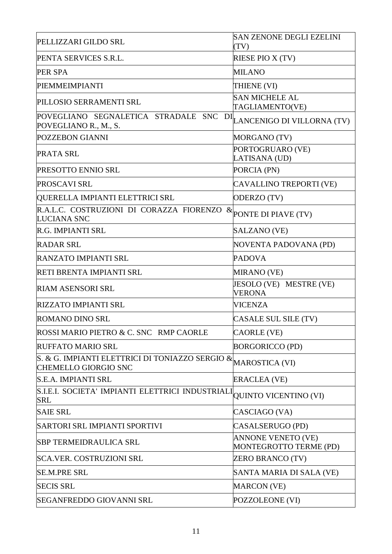|                                                                                               | <b>SAN ZENONE DEGLI EZELINI</b>                     |
|-----------------------------------------------------------------------------------------------|-----------------------------------------------------|
| PELLIZZARI GILDO SRL                                                                          | (TV)                                                |
| PENTA SERVICES S.R.L.                                                                         | RIESE PIO X (TV)                                    |
| <b>PER SPA</b>                                                                                | <b>MILANO</b>                                       |
| PIEMMEIMPIANTI                                                                                | THIENE (VI)                                         |
| PILLOSIO SERRAMENTI SRL                                                                       | <b>SAN MICHELE AL</b><br>TAGLIAMENTO(VE)            |
| POVEGLIANO SEGNALETICA STRADALE SNC<br>POVEGLIANO R., M., S.                                  | DI LANCENIGO DI VILLORNA (TV)                       |
| POZZEBON GIANNI                                                                               | MORGANO (TV)                                        |
| <b>PRATA SRL</b>                                                                              | PORTOGRUARO (VE)<br>LATISANA (UD)                   |
| PRESOTTO ENNIO SRL                                                                            | PORCIA (PN)                                         |
| PROSCAVI SRL                                                                                  | <b>CAVALLINO TREPORTI (VE)</b>                      |
| QUERELLA IMPIANTI ELETTRICI SRL                                                               | ODERZO (TV)                                         |
| R.A.L.C. COSTRUZIONI DI CORAZZA FIORENZO<br><b>LUCIANA SNC</b>                                | $\&$ PONTE DI PIAVE (TV)                            |
| R.G. IMPIANTI SRL                                                                             | SALZANO (VE)                                        |
| <b>RADAR SRL</b>                                                                              | NOVENTA PADOVANA (PD)                               |
| <b>RANZATO IMPIANTI SRL</b>                                                                   | <b>PADOVA</b>                                       |
| RETI BRENTA IMPIANTI SRL                                                                      | <b>MIRANO</b> (VE)                                  |
| <b>RIAM ASENSORI SRL</b>                                                                      | JESOLO (VE) MESTRE (VE)<br><b>VERONA</b>            |
| <b>RIZZATO IMPIANTI SRL</b>                                                                   | <b>VICENZA</b>                                      |
| <b>ROMANO DINO SRL</b>                                                                        | CASALE SUL SILE (TV)                                |
| ROSSI MARIO PIETRO & C. SNC RMP CAORLE                                                        | <b>CAORLE (VE)</b>                                  |
| <b>RUFFATO MARIO SRL</b>                                                                      | <b>BORGORICCO (PD)</b>                              |
| S. & G. IMPIANTI ELETTRICI DI TONIAZZO SERGIO & MAROSTICA (VI)<br><b>CHEMELLO GIORGIO SNC</b> |                                                     |
| S.E.A. IMPIANTI SRL                                                                           | <b>ERACLEA (VE)</b>                                 |
| S.I.E.I. SOCIETA' IMPIANTI ELETTRICI INDUSTRIALI<br><b>SRL</b>                                | <b>QUINTO VICENTINO (VI)</b>                        |
| <b>SAIE SRL</b>                                                                               | CASCIAGO (VA)                                       |
| SARTORI SRL IMPIANTI SPORTIVI                                                                 | CASALSERUGO (PD)                                    |
| <b>SBP TERMEIDRAULICA SRL</b>                                                                 | <b>ANNONE VENETO (VE)</b><br>MONTEGROTTO TERME (PD) |
| SCA.VER. COSTRUZIONI SRL                                                                      | <b>ZERO BRANCO (TV)</b>                             |
| <b>SE.M.PRE SRL</b>                                                                           | SANTA MARIA DI SALA (VE)                            |
| <b>SECIS SRL</b>                                                                              | <b>MARCON</b> (VE)                                  |
| <b>SEGANFREDDO GIOVANNI SRL</b>                                                               | POZZOLEONE (VI)                                     |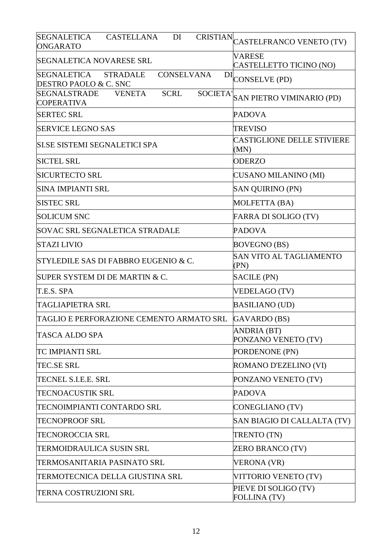| <b>SEGNALETICA</b><br><b>CASTELLANA</b><br>DI<br>ONGARATO                                   | CRISTIAN CASTELFRANCO VENETO (TV)           |
|---------------------------------------------------------------------------------------------|---------------------------------------------|
| <b>SEGNALETICA NOVARESE SRL</b>                                                             | <b>VARESE</b><br>CASTELLETTO TICINO (NO)    |
| <b>CONSELVANA</b><br>SEGNALETICA<br><b>STRADALE</b><br>DI<br>DESTRO PAOLO & C. SNC          | <b>CONSELVE (PD)</b>                        |
| <b>SOCIETA'</b><br><b>SEGNALSTRADE</b><br><b>VENETA</b><br><b>SCRL</b><br><b>COPERATIVA</b> | <b>SAN PIETRO VIMINARIO (PD)</b>            |
| <b>SERTEC SRL</b>                                                                           | <b>PADOVA</b>                               |
| <b>SERVICE LEGNO SAS</b>                                                                    | <b>TREVISO</b>                              |
| SI.SE SISTEMI SEGNALETICI SPA                                                               | <b>CASTIGLIONE DELLE STIVIERE</b><br>(MN)   |
| <b>SICTEL SRL</b>                                                                           | <b>ODERZO</b>                               |
| <b>SICURTECTO SRL</b>                                                                       | <b>CUSANO MILANINO (MI)</b>                 |
| <b>SINA IMPIANTI SRL</b>                                                                    | <b>SAN QUIRINO (PN)</b>                     |
| <b>SISTEC SRL</b>                                                                           | MOLFETTA (BA)                               |
| <b>SOLICUM SNC</b>                                                                          | <b>FARRA DI SOLIGO (TV)</b>                 |
| <b>SOVAC SRL SEGNALETICA STRADALE</b>                                                       | <b>PADOVA</b>                               |
| <b>STAZI LIVIO</b>                                                                          | <b>BOVEGNO (BS)</b>                         |
| STYLEDILE SAS DI FABBRO EUGENIO & C.                                                        | <b>SAN VITO AL TAGLIAMENTO</b><br>(PN)      |
| SUPER SYSTEM DI DE MARTIN & C.                                                              | SACILE (PN)                                 |
| T.E.S. SPA                                                                                  | <b>VEDELAGO (TV)</b>                        |
| <b>TAGLIAPIETRA SRL</b>                                                                     | <b>BASILIANO (UD)</b>                       |
| TAGLIO E PERFORAZIONE CEMENTO ARMATO SRL                                                    | GAVARDO (BS)                                |
| TASCA ALDO SPA                                                                              | ANDRIA (BT)<br>PONZANO VENETO (TV)          |
| TC IMPIANTI SRL                                                                             | PORDENONE (PN)                              |
| <b>TEC.SE SRL</b>                                                                           | ROMANO D'EZELINO (VI)                       |
| TECNEL S.I.E.E. SRL                                                                         | PONZANO VENETO (TV)                         |
| TECNOACUSTIK SRL                                                                            | <b>PADOVA</b>                               |
| TECNOIMPIANTI CONTARDO SRL                                                                  | CONEGLIANO (TV)                             |
| TECNOPROOF SRL                                                                              | SAN BIAGIO DI CALLALTA (TV)                 |
| <b>TECNOROCCIA SRL</b>                                                                      | TRENTO (TN)                                 |
| TERMOIDRAULICA SUSIN SRL                                                                    | <b>ZERO BRANCO (TV)</b>                     |
| ITERMOSANITARIA PASINATO SRL                                                                | <b>VERONA (VR)</b>                          |
| TERMOTECNICA DELLA GIUSTINA SRL                                                             | VITTORIO VENETO (TV)                        |
| TERNA COSTRUZIONI SRL                                                                       | PIEVE DI SOLIGO (TV)<br><b>FOLLINA (TV)</b> |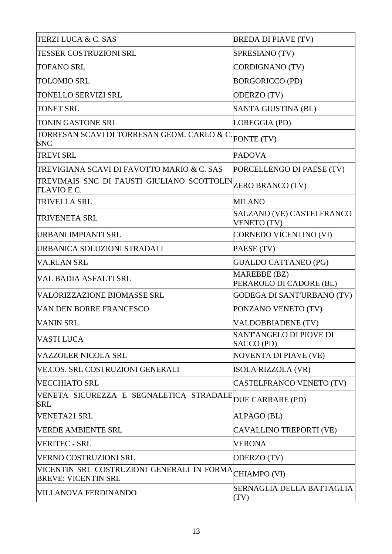| TERZI LUCA & C. SAS                                                      | <b>BREDA DI PIAVE (TV)</b>                     |
|--------------------------------------------------------------------------|------------------------------------------------|
| <b>TESSER COSTRUZIONI SRL</b>                                            | SPRESIANO (TV)                                 |
| <b>TOFANO SRL</b>                                                        | CORDIGNANO (TV)                                |
| <b>TOLOMIO SRL</b>                                                       | <b>BORGORICCO (PD)</b>                         |
| TONELLO SERVIZI SRL                                                      | ODERZO (TV)                                    |
| <b>TONET SRL</b>                                                         | SANTA GIUSTINA (BL)                            |
| TONIN GASTONE SRL                                                        | LOREGGIA (PD)                                  |
| TORRESAN SCAVI DI TORRESAN GEOM. CARLO & C.<br><b>SNC</b>                | FONTE (TV)                                     |
| <b>TREVI SRL</b>                                                         | <b>PADOVA</b>                                  |
| TREVIGIANA SCAVI DI FAVOTTO MARIO & C. SAS                               | PORCELLENGO DI PAESE (TV)                      |
| TREVIMAIS SNC DI FAUSTI GIULIANO SCOTTOLIN<br><b>FLAVIO E C.</b>         | <b>ZERO BRANCO (TV)</b>                        |
| <b>TRIVELLA SRL</b>                                                      | <b>MILANO</b>                                  |
| <b>TRIVENETA SRL</b>                                                     | SALZANO (VE) CASTELFRANCO<br>VENETO (TV)       |
| URBANI IMPIANTI SRL                                                      | <b>CORNEDO VICENTINO (VI)</b>                  |
| URBANICA SOLUZIONI STRADALI                                              | PAESE (TV)                                     |
| VA.RI.AN SRL                                                             | <b>GUALDO CATTANEO (PG)</b>                    |
| IVAL BADIA ASFALTI SRL                                                   | <b>MAREBBE (BZ)</b><br>PERAROLO DI CADORE (BL) |
| VALORIZZAZIONE BIOMASSE SRL                                              | <b>GODEGA DI SANT'URBANO (TV)</b>              |
| VAN DEN BORRE FRANCESCO                                                  | PONZANO VENETO (TV)                            |
| <b>VANIN SRL</b>                                                         | VALDOBBIADENE (TV)                             |
| VASTI LUCA                                                               | SANT'ANGELO DI PIOVE DI<br>SACCO (PD)          |
| VAZZOLER NICOLA SRL                                                      | <b>NOVENTA DI PIAVE (VE)</b>                   |
| VE.COS. SRL COSTRUZIONI GENERALI                                         | <b>ISOLA RIZZOLA (VR)</b>                      |
| VECCHIATO SRL                                                            | CASTELFRANCO VENETO (TV)                       |
| VENETA SICUREZZA E SEGNALETICA STRADALE<br><b>SRL</b>                    | DUE CARRARE (PD)                               |
| <b>VENETA21 SRL</b>                                                      | ALPAGO (BL)                                    |
| <b>VERDE AMBIENTE SRL</b>                                                | CAVALLINO TREPORTI (VE)                        |
| <b>VERITEC - SRL</b>                                                     | <b>VERONA</b>                                  |
| VERNO COSTRUZIONI SRL                                                    | ODERZO (TV)                                    |
| VICENTIN SRL COSTRUZIONI GENERALI IN FORMA<br><b>BREVE: VICENTIN SRL</b> | CHIAMPO (VI)                                   |
| VILLANOVA FERDINANDO                                                     | SERNAGLIA DELLA BATTAGLIA<br>(TV)              |